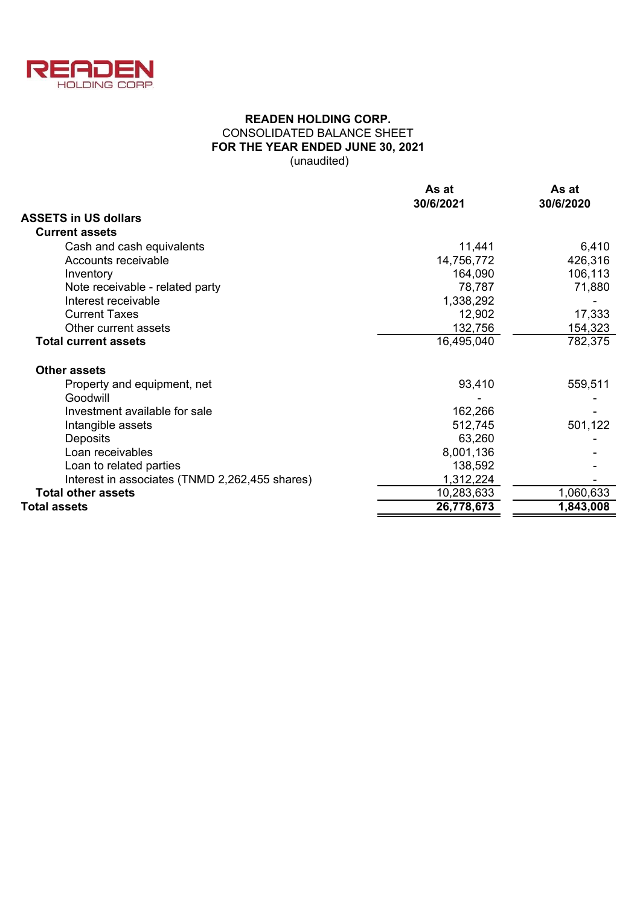

# **READEN HOLDING CORP.** CONSOLIDATED BALANCE SHEET **FOR THE YEAR ENDED JUNE 30, 2021** (unaudited)

|                                                | As at      | As at     |  |  |
|------------------------------------------------|------------|-----------|--|--|
|                                                | 30/6/2021  | 30/6/2020 |  |  |
| <b>ASSETS in US dollars</b>                    |            |           |  |  |
| <b>Current assets</b>                          |            |           |  |  |
| Cash and cash equivalents                      | 11,441     | 6,410     |  |  |
| Accounts receivable                            | 14,756,772 | 426,316   |  |  |
| Inventory                                      | 164,090    | 106,113   |  |  |
| Note receivable - related party                | 78,787     | 71,880    |  |  |
| Interest receivable                            | 1,338,292  |           |  |  |
| <b>Current Taxes</b>                           | 12,902     | 17,333    |  |  |
| Other current assets                           | 132,756    | 154,323   |  |  |
| <b>Total current assets</b>                    | 16,495,040 | 782,375   |  |  |
| <b>Other assets</b>                            |            |           |  |  |
| Property and equipment, net                    | 93,410     | 559,511   |  |  |
| Goodwill                                       |            |           |  |  |
| Investment available for sale                  | 162,266    |           |  |  |
| Intangible assets                              | 512,745    | 501,122   |  |  |
| Deposits                                       | 63,260     |           |  |  |
| Loan receivables                               | 8,001,136  |           |  |  |
| Loan to related parties                        | 138,592    |           |  |  |
| Interest in associates (TNMD 2,262,455 shares) | 1,312,224  |           |  |  |
| <b>Total other assets</b>                      | 10,283,633 | 1,060,633 |  |  |
| <b>Total assets</b>                            | 26,778,673 | 1,843,008 |  |  |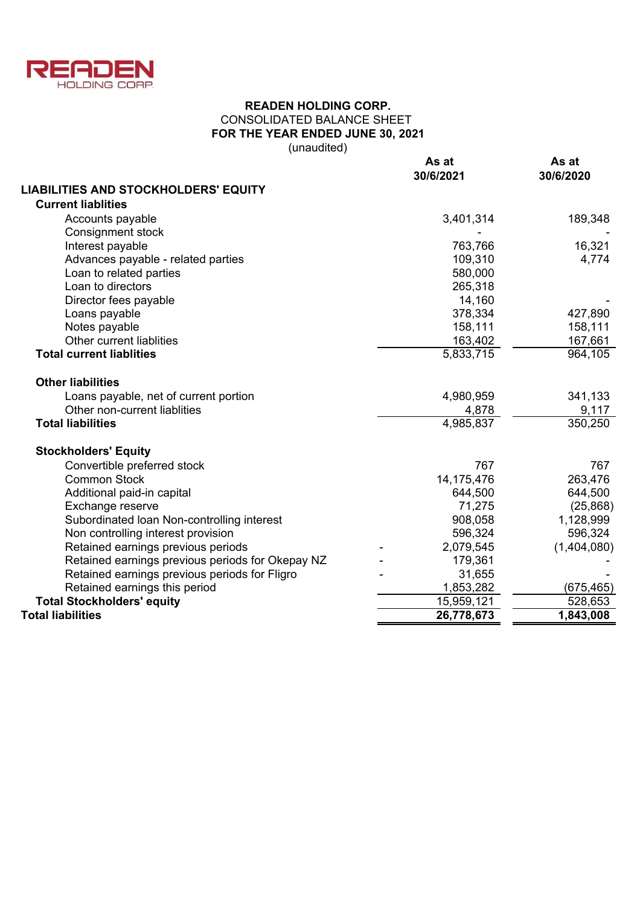

# CONSOLIDATED BALANCE SHEET **FOR THE YEAR ENDED JUNE 30, 2021 READEN HOLDING CORP.**

(unaudited)

|                                                  | As at<br>30/6/2021 | As at<br>30/6/2020 |  |  |
|--------------------------------------------------|--------------------|--------------------|--|--|
| <b>LIABILITIES AND STOCKHOLDERS' EQUITY</b>      |                    |                    |  |  |
| <b>Current liablities</b>                        |                    |                    |  |  |
| Accounts payable                                 | 3,401,314          | 189,348            |  |  |
| Consignment stock                                |                    |                    |  |  |
| Interest payable                                 | 763,766            | 16,321             |  |  |
| Advances payable - related parties               | 109,310            | 4,774              |  |  |
| Loan to related parties                          | 580,000            |                    |  |  |
| Loan to directors                                | 265,318            |                    |  |  |
| Director fees payable                            | 14,160             |                    |  |  |
| Loans payable                                    | 378,334            | 427,890            |  |  |
| Notes payable                                    | 158,111            | 158,111            |  |  |
| Other current liablities                         | 163,402            | 167,661            |  |  |
| <b>Total current liablities</b>                  | 5,833,715          | 964,105            |  |  |
| <b>Other liabilities</b>                         |                    |                    |  |  |
| Loans payable, net of current portion            | 4,980,959          | 341,133            |  |  |
| Other non-current liablities                     | 4,878              | 9,117              |  |  |
| <b>Total liabilities</b>                         | 4,985,837          | 350,250            |  |  |
| <b>Stockholders' Equity</b>                      |                    |                    |  |  |
| Convertible preferred stock                      | 767                | 767                |  |  |
| <b>Common Stock</b>                              | 14, 175, 476       | 263,476            |  |  |
| Additional paid-in capital                       | 644,500            | 644,500            |  |  |
| Exchange reserve                                 | 71,275             | (25, 868)          |  |  |
| Subordinated Ioan Non-controlling interest       | 908,058            | 1,128,999          |  |  |
| Non controlling interest provision               | 596,324            | 596,324            |  |  |
| Retained earnings previous periods               | 2,079,545          | (1,404,080)        |  |  |
| Retained earnings previous periods for Okepay NZ | 179,361            |                    |  |  |
| Retained earnings previous periods for Fligro    | 31,655             |                    |  |  |
| Retained earnings this period                    | 1,853,282          | (675, 465)         |  |  |
| <b>Total Stockholders' equity</b>                | 15,959,121         | 528,653            |  |  |
| <b>Total liabilities</b>                         | 26,778,673         | 1,843,008          |  |  |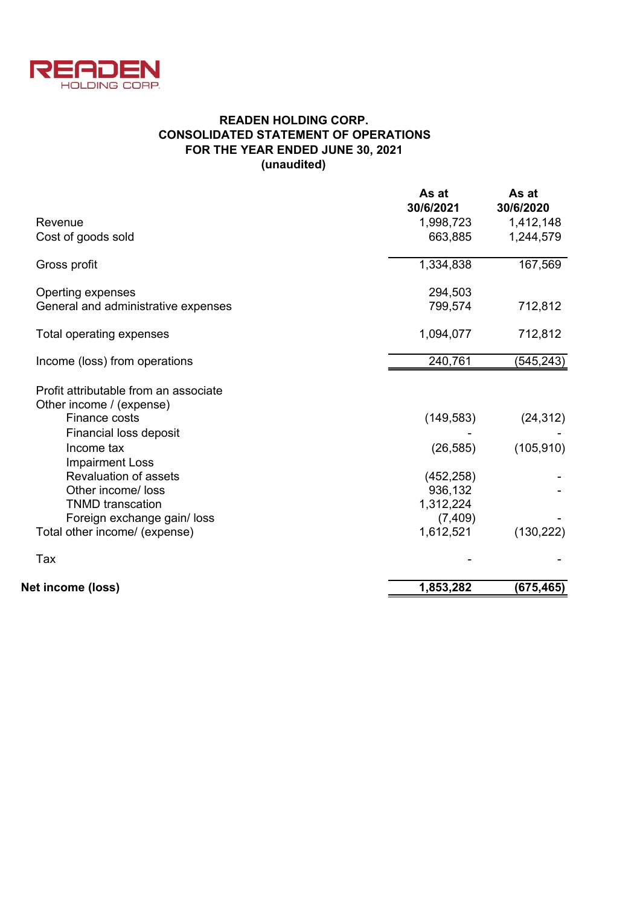

# **READEN HOLDING CORP. CONSOLIDATED STATEMENT OF OPERATIONS FOR THE YEAR ENDED JUNE 30, 2021 (unaudited)**

| As at      | As at                  |
|------------|------------------------|
| 30/6/2021  | 30/6/2020              |
| 1,998,723  | 1,412,148              |
| 663,885    | 1,244,579              |
| 1,334,838  | 167,569                |
| 294,503    |                        |
| 799,574    | 712,812                |
| 1,094,077  | 712,812                |
| 240,761    | (545, 243)             |
|            |                        |
|            |                        |
| (149, 583) | (24, 312)              |
|            |                        |
| (26, 585)  | (105, 910)             |
|            |                        |
| (452, 258) |                        |
| 936,132    |                        |
|            |                        |
| (7, 409)   |                        |
|            | (130, 222)             |
|            |                        |
| 1,853,282  | (675,465)              |
|            | 1,312,224<br>1,612,521 |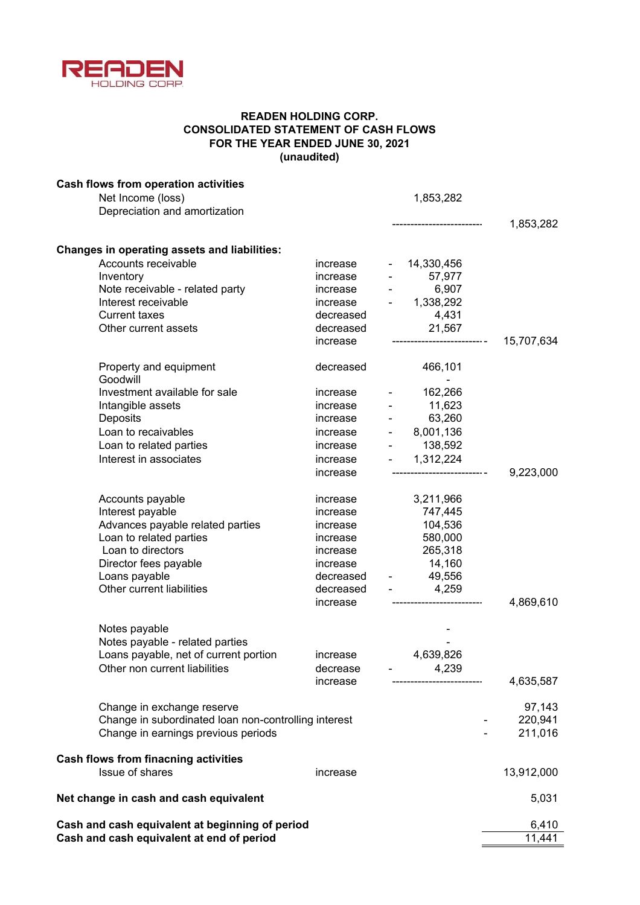

# **READEN HOLDING CORP. CONSOLIDATED STATEMENT OF CASH FLOWS FOR THE YEAR ENDED JUNE 30, 2021 (unaudited)**

| <b>Cash flows from operation activities</b><br>Net Income (loss) |                      |                | 1,853,282                         |                     |
|------------------------------------------------------------------|----------------------|----------------|-----------------------------------|---------------------|
| Depreciation and amortization                                    |                      |                |                                   |                     |
|                                                                  |                      |                | --------------------              | 1,853,282           |
| <b>Changes in operating assets and liabilities:</b>              |                      |                |                                   |                     |
| Accounts receivable                                              | increase             |                | 14,330,456                        |                     |
| Inventory                                                        | increase             |                | 57,977                            |                     |
| Note receivable - related party                                  | increase             |                | 6,907                             |                     |
| Interest receivable                                              | increase             |                | o,yu <i>r</i><br>1,338,292        |                     |
| <b>Current taxes</b>                                             | decreased            |                | 4,431                             |                     |
| Other current assets                                             | decreased            |                | 21,567                            |                     |
|                                                                  | increase             |                |                                   | 15,707,634          |
| Property and equipment<br>Goodwill                               | decreased            |                | 466,101                           |                     |
| Investment available for sale                                    | increase             |                | 162,266                           |                     |
| Intangible assets                                                | increase             |                | 11,623                            |                     |
| Deposits                                                         | increase             |                | 63,260                            |                     |
| Loan to recaivables                                              | increase             | $\blacksquare$ | 8,001,136                         |                     |
| Loan to related parties                                          | increase             | $\blacksquare$ | 138,592                           |                     |
| Interest in associates                                           | increase             |                | $- 1,312,224$                     |                     |
|                                                                  | increase             |                | ------------------- -             | 9,223,000           |
|                                                                  |                      |                |                                   |                     |
| Accounts payable                                                 | increase             |                | 3,211,966                         |                     |
| Interest payable                                                 | increase             |                | 747,445<br>104,536                |                     |
| Advances payable related parties<br>Loan to related parties      | increase<br>increase |                | 580,000                           |                     |
| Loan to directors                                                | increase             |                | 265,318                           |                     |
| Director fees payable                                            | increase             |                | 14,160                            |                     |
| Loans payable                                                    |                      |                | decreased - 49,556                |                     |
| Other current liabilities                                        | decreased            |                | 4,259                             |                     |
|                                                                  | increase             |                |                                   | 4,869,610           |
|                                                                  |                      |                |                                   |                     |
| Notes payable                                                    |                      |                |                                   |                     |
| Notes payable - related parties                                  |                      |                |                                   |                     |
| Loans payable, net of current portion                            | increase             |                | 4,639,826                         |                     |
| Other non current liabilities                                    | decrease<br>increase |                | 4,239<br>------------------------ | 4,635,587           |
|                                                                  |                      |                |                                   |                     |
| Change in exchange reserve                                       |                      |                |                                   | 97,143              |
| Change in subordinated loan non-controlling interest             |                      |                |                                   | 220,941             |
| Change in earnings previous periods                              |                      |                |                                   | 211,016             |
| <b>Cash flows from finacning activities</b>                      |                      |                |                                   |                     |
| Issue of shares                                                  | increase             |                |                                   | 13,912,000          |
| Net change in cash and cash equivalent                           |                      |                |                                   | 5,031               |
| Cash and cash equivalent at beginning of period                  |                      |                |                                   | 6,410               |
| Cash and cash equivalent at end of period                        |                      |                |                                   | $\overline{11,}441$ |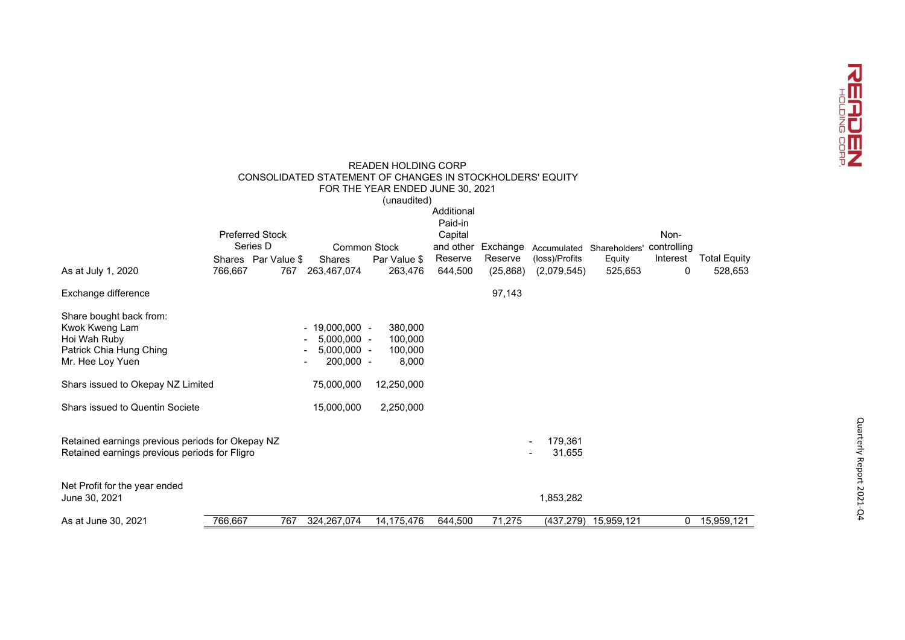

|                                                  |         |                        |                                                           | <b>READEN HOLDING CORP</b>       |                       |           |                |                           |              |                     |
|--------------------------------------------------|---------|------------------------|-----------------------------------------------------------|----------------------------------|-----------------------|-----------|----------------|---------------------------|--------------|---------------------|
|                                                  |         |                        | CONSOLIDATED STATEMENT OF CHANGES IN STOCKHOLDERS' EQUITY |                                  |                       |           |                |                           |              |                     |
|                                                  |         |                        |                                                           | FOR THE YEAR ENDED JUNE 30, 2021 |                       |           |                |                           |              |                     |
|                                                  |         |                        |                                                           | (unaudited)                      |                       |           |                |                           |              |                     |
|                                                  |         |                        |                                                           |                                  | Additional<br>Paid-in |           |                |                           |              |                     |
|                                                  |         | <b>Preferred Stock</b> |                                                           |                                  | Capital               |           |                |                           | Non-         |                     |
|                                                  |         | Series D               | <b>Common Stock</b>                                       |                                  | and other             | Exchange  |                | Accumulated Shareholders' | controlling  |                     |
|                                                  |         | Shares Par Value \$    | <b>Shares</b>                                             | Par Value \$                     | Reserve               | Reserve   | (loss)/Profits | Equity                    | Interest     | <b>Total Equity</b> |
| As at July 1, 2020                               | 766,667 | 767                    | 263,467,074                                               | 263,476                          | 644,500               | (25, 868) | (2,079,545)    | 525,653                   | 0            | 528,653             |
| Exchange difference                              |         |                        |                                                           |                                  |                       | 97,143    |                |                           |              |                     |
| Share bought back from:                          |         |                        |                                                           |                                  |                       |           |                |                           |              |                     |
| Kwok Kweng Lam                                   |         |                        | $-19,000,000 -$                                           | 380,000                          |                       |           |                |                           |              |                     |
| Hoi Wah Ruby                                     |         |                        | $5.000.000 -$                                             | 100,000                          |                       |           |                |                           |              |                     |
| Patrick Chia Hung Ching                          |         |                        | $5,000,000 -$                                             | 100,000                          |                       |           |                |                           |              |                     |
| Mr. Hee Loy Yuen                                 |         |                        | 200,000 -                                                 | 8,000                            |                       |           |                |                           |              |                     |
| Shars issued to Okepay NZ Limited                |         |                        | 75,000,000                                                | 12,250,000                       |                       |           |                |                           |              |                     |
| Shars issued to Quentin Societe                  |         |                        | 15,000,000                                                | 2,250,000                        |                       |           |                |                           |              |                     |
|                                                  |         |                        |                                                           |                                  |                       |           |                |                           |              |                     |
| Retained earnings previous periods for Okepay NZ |         |                        |                                                           |                                  |                       |           | 179,361        |                           |              |                     |
| Retained earnings previous periods for Fligro    |         |                        |                                                           |                                  |                       |           | 31,655         |                           |              |                     |
| Net Profit for the year ended                    |         |                        |                                                           |                                  |                       |           |                |                           |              |                     |
| June 30, 2021                                    |         |                        |                                                           |                                  |                       |           | 1,853,282      |                           |              |                     |
| As at June 30, 2021                              | 766,667 | 767                    | 324, 267, 074                                             | 14,175,476                       | 644,500               | 71,275    | (437, 279)     | 15,959,121                | $\mathbf{0}$ | 15,959,121          |
|                                                  |         |                        |                                                           |                                  |                       |           |                |                           |              |                     |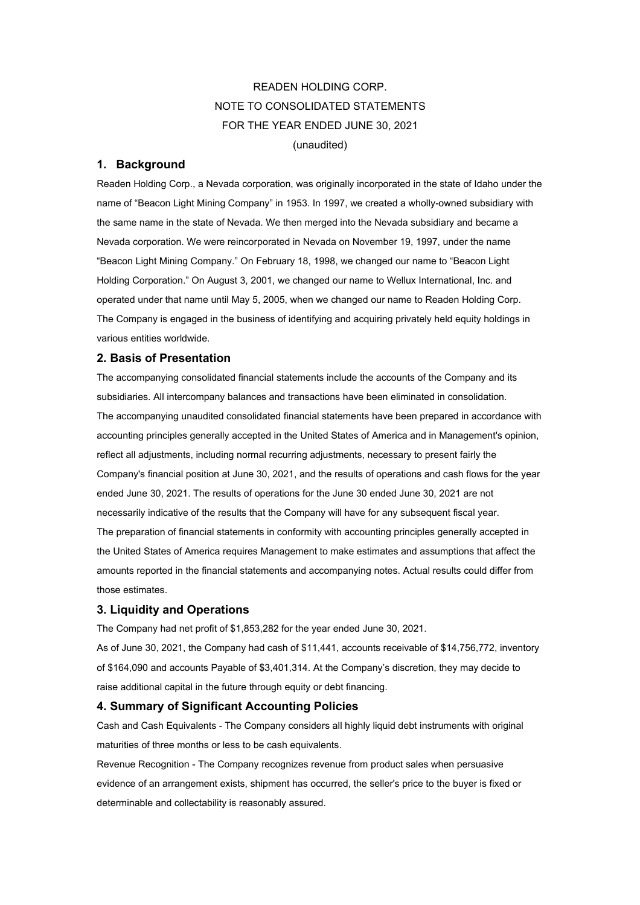# READEN HOLDING CORP. NOTE TO CONSOLIDATED STATEMENTS FOR THE YEAR ENDED JUNE 30, 2021 (unaudited)

## **1. Background**

Readen Holding Corp., a Nevada corporation, was originally incorporated in the state of Idaho under the name of "Beacon Light Mining Company" in 1953. In 1997, we created a wholly-owned subsidiary with the same name in the state of Nevada. We then merged into the Nevada subsidiary and became a Nevada corporation. We were reincorporated in Nevada on November 19, 1997, under the name "Beacon Light Mining Company." On February 18, 1998, we changed our name to "Beacon Light Holding Corporation." On August 3, 2001, we changed our name to Wellux International, Inc. and operated under that name until May 5, 2005, when we changed our name to Readen Holding Corp. The Company is engaged in the business of identifying and acquiring privately held equity holdings in various entities worldwide.

## **2. Basis of Presentation**

The accompanying consolidated financial statements include the accounts of the Company and its subsidiaries. All intercompany balances and transactions have been eliminated in consolidation. The accompanying unaudited consolidated financial statements have been prepared in accordance with accounting principles generally accepted in the United States of America and in Management's opinion, reflect all adjustments, including normal recurring adjustments, necessary to present fairly the Company's financial position at June 30, 2021, and the results of operations and cash flows for the year ended June 30, 2021. The results of operations for the June 30 ended June 30, 2021 are not necessarily indicative of the results that the Company will have for any subsequent fiscal year. The preparation of financial statements in conformity with accounting principles generally accepted in the United States of America requires Management to make estimates and assumptions that affect the amounts reported in the financial statements and accompanying notes. Actual results could differ from those estimates.

## **3. Liquidity and Operations**

The Company had net profit of \$1,853,282 for the year ended June 30, 2021.

As of June 30, 2021, the Company had cash of \$11,441, accounts receivable of \$14,756,772, inventory of \$164,090 and accounts Payable of \$3,401,314. At the Company's discretion, they may decide to raise additional capital in the future through equity or debt financing.

## **4. Summary of Significant Accounting Policies**

Cash and Cash Equivalents - The Company considers all highly liquid debt instruments with original maturities of three months or less to be cash equivalents.

Revenue Recognition - The Company recognizes revenue from product sales when persuasive evidence of an arrangement exists, shipment has occurred, the seller's price to the buyer is fixed or determinable and collectability is reasonably assured.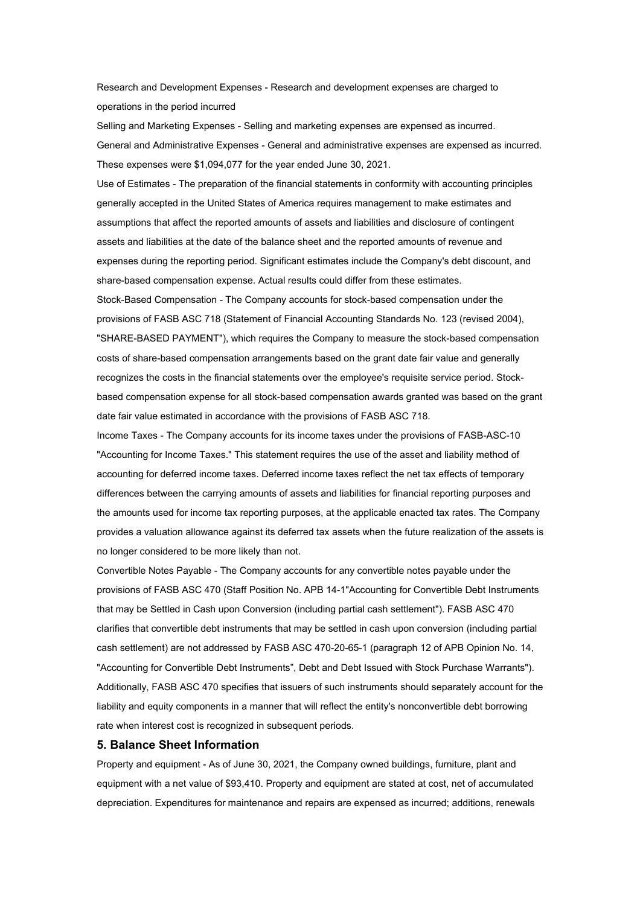Research and Development Expenses - Research and development expenses are charged to operations in the period incurred

Selling and Marketing Expenses - Selling and marketing expenses are expensed as incurred. General and Administrative Expenses - General and administrative expenses are expensed as incurred. These expenses were \$1,094,077 for the year ended June 30, 2021.

Use of Estimates - The preparation of the financial statements in conformity with accounting principles generally accepted in the United States of America requires management to make estimates and assumptions that affect the reported amounts of assets and liabilities and disclosure of contingent assets and liabilities at the date of the balance sheet and the reported amounts of revenue and expenses during the reporting period. Significant estimates include the Company's debt discount, and share-based compensation expense. Actual results could differ from these estimates. Stock-Based Compensation - The Company accounts for stock-based compensation under the provisions of FASB ASC 718 (Statement of Financial Accounting Standards No. 123 (revised 2004), "SHARE-BASED PAYMENT"), which requires the Company to measure the stock-based compensation costs of share-based compensation arrangements based on the grant date fair value and generally recognizes the costs in the financial statements over the employee's requisite service period. Stock-

based compensation expense for all stock-based compensation awards granted was based on the grant date fair value estimated in accordance with the provisions of FASB ASC 718.

Income Taxes - The Company accounts for its income taxes under the provisions of FASB-ASC-10 "Accounting for Income Taxes." This statement requires the use of the asset and liability method of accounting for deferred income taxes. Deferred income taxes reflect the net tax effects of temporary differences between the carrying amounts of assets and liabilities for financial reporting purposes and the amounts used for income tax reporting purposes, at the applicable enacted tax rates. The Company provides a valuation allowance against its deferred tax assets when the future realization of the assets is no longer considered to be more likely than not.

Convertible Notes Payable - The Company accounts for any convertible notes payable under the provisions of FASB ASC 470 (Staff Position No. APB 14-1"Accounting for Convertible Debt Instruments that may be Settled in Cash upon Conversion (including partial cash settlement"). FASB ASC 470 clarifies that convertible debt instruments that may be settled in cash upon conversion (including partial cash settlement) are not addressed by FASB ASC 470-20-65-1 (paragraph 12 of APB Opinion No. 14, "Accounting for Convertible Debt Instruments", Debt and Debt Issued with Stock Purchase Warrants"). Additionally, FASB ASC 470 specifies that issuers of such instruments should separately account for the liability and equity components in a manner that will reflect the entity's nonconvertible debt borrowing rate when interest cost is recognized in subsequent periods.

#### **5. Balance Sheet Information**

Property and equipment - As of June 30, 2021, the Company owned buildings, furniture, plant and equipment with a net value of \$93,410. Property and equipment are stated at cost, net of accumulated depreciation. Expenditures for maintenance and repairs are expensed as incurred; additions, renewals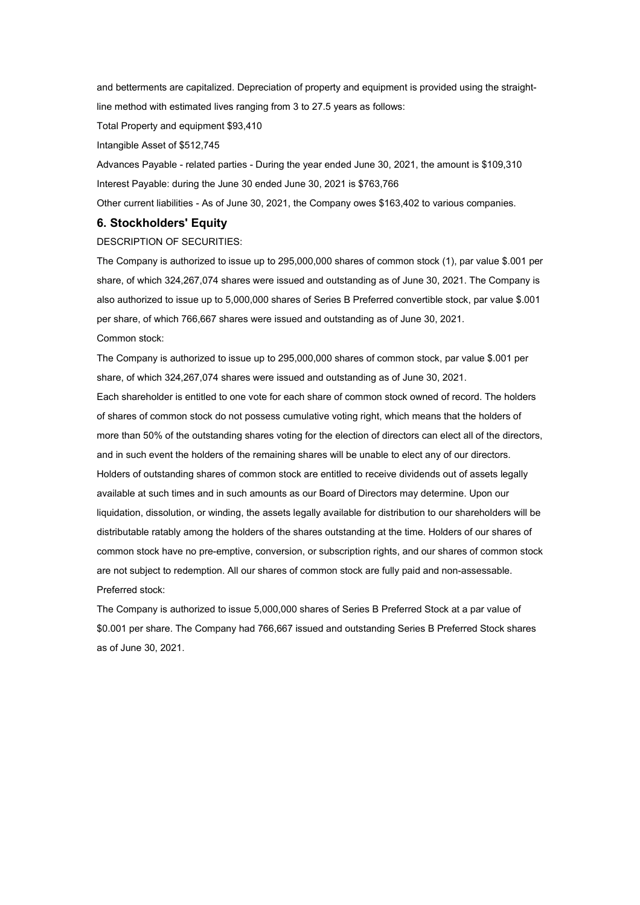and betterments are capitalized. Depreciation of property and equipment is provided using the straightline method with estimated lives ranging from 3 to 27.5 years as follows:

Total Property and equipment \$93,410

Intangible Asset of \$512,745

Advances Payable - related parties - During the year ended June 30, 2021, the amount is \$109,310 Interest Payable: during the June 30 ended June 30, 2021 is \$763,766

Other current liabilities - As of June 30, 2021, the Company owes \$163,402 to various companies.

### **6. Stockholders' Equity**

DESCRIPTION OF SECURITIES:

The Company is authorized to issue up to 295,000,000 shares of common stock (1), par value \$.001 per share, of which 324,267,074 shares were issued and outstanding as of June 30, 2021. The Company is also authorized to issue up to 5,000,000 shares of Series B Preferred convertible stock, par value \$.001 per share, of which 766,667 shares were issued and outstanding as of June 30, 2021. Common stock:

The Company is authorized to issue up to 295,000,000 shares of common stock, par value \$.001 per share, of which 324,267,074 shares were issued and outstanding as of June 30, 2021.

Each shareholder is entitled to one vote for each share of common stock owned of record. The holders of shares of common stock do not possess cumulative voting right, which means that the holders of more than 50% of the outstanding shares voting for the election of directors can elect all of the directors, and in such event the holders of the remaining shares will be unable to elect any of our directors. Holders of outstanding shares of common stock are entitled to receive dividends out of assets legally available at such times and in such amounts as our Board of Directors may determine. Upon our liquidation, dissolution, or winding, the assets legally available for distribution to our shareholders will be distributable ratably among the holders of the shares outstanding at the time. Holders of our shares of common stock have no pre-emptive, conversion, or subscription rights, and our shares of common stock are not subject to redemption. All our shares of common stock are fully paid and non-assessable. Preferred stock:

The Company is authorized to issue 5,000,000 shares of Series B Preferred Stock at a par value of \$0.001 per share. The Company had 766,667 issued and outstanding Series B Preferred Stock shares as of June 30, 2021.